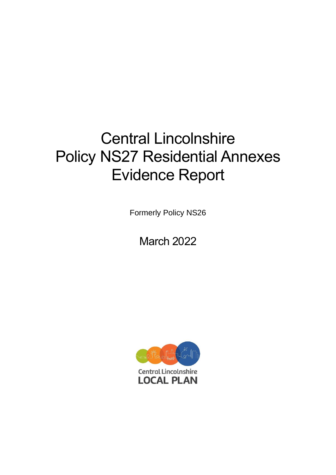# Central Lincolnshire Policy NS27 Residential Annexes Evidence Report

Formerly Policy NS26

March 2022

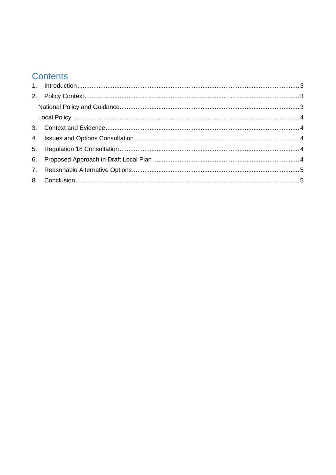# **Contents**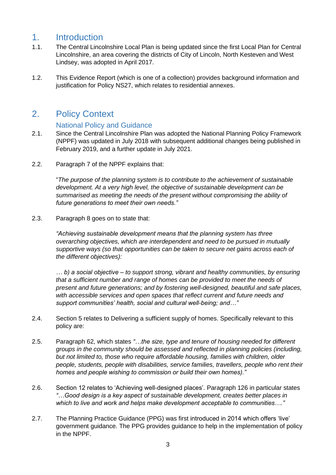### <span id="page-2-0"></span>1. Introduction

- 1.1. The Central Lincolnshire Local Plan is being updated since the first Local Plan for Central Lincolnshire, an area covering the districts of City of Lincoln, North Kesteven and West Lindsey, was adopted in April 2017.
- 1.2. This Evidence Report (which is one of a collection) provides background information and justification for Policy NS27, which relates to residential annexes.

### <span id="page-2-1"></span>2. Policy Context

#### National Policy and Guidance

- <span id="page-2-2"></span>2.1. Since the Central Lincolnshire Plan was adopted the National Planning Policy Framework (NPPF) was updated in July 2018 with subsequent additional changes being published in February 2019, and a further update in July 2021.
- 2.2. Paragraph 7 of the NPPF explains that:

"*The purpose of the planning system is to contribute to the achievement of sustainable development. At a very high level, the objective of sustainable development can be summarised as meeting the needs of the present without compromising the ability of future generations to meet their own needs."*

2.3. Paragraph 8 goes on to state that:

*"Achieving sustainable development means that the planning system has three overarching objectives, which are interdependent and need to be pursued in mutually supportive ways (so that opportunities can be taken to secure net gains across each of the different objectives):*

*… b) a social objective – to support strong, vibrant and healthy communities, by ensuring that a sufficient number and range of homes can be provided to meet the needs of present and future generations; and by fostering well-designed, beautiful and safe places, with accessible services and open spaces that reflect current and future needs and support communities' health, social and cultural well-being; and…"*

- 2.4. Section 5 relates to Delivering a sufficient supply of homes. Specifically relevant to this policy are:
- 2.5. Paragraph 62, which states *"…the size, type and tenure of housing needed for different groups in the community should be assessed and reflected in planning policies (including, but not limited to, those who require affordable housing, families with children, older people, students, people with disabilities, service families, travellers, people who rent their homes and people wishing to commission or build their own homes)."*
- 2.6. Section 12 relates to 'Achieving well-designed places'. Paragraph 126 in particular states *"…Good design is a key aspect of sustainable development, creates better places in which to live and work and helps make development acceptable to communities…."*
- 2.7. The Planning Practice Guidance (PPG) was first introduced in 2014 which offers 'live' government guidance. The PPG provides guidance to help in the implementation of policy in the NPPF.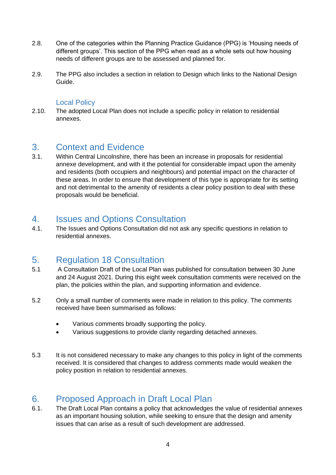- 2.8. One of the categories within the Planning Practice Guidance (PPG) is 'Housing needs of different groups'. This section of the PPG when read as a whole sets out how housing needs of different groups are to be assessed and planned for.
- 2.9. The PPG also includes a section in relation to Design which links to the National Design Guide.

#### Local Policy

<span id="page-3-0"></span>2.10. The adopted Local Plan does not include a specific policy in relation to residential annexes.

#### <span id="page-3-1"></span>3. Context and Evidence

3.1. Within Central Lincolnshire, there has been an increase in proposals for residential annexe development, and with it the potential for considerable impact upon the amenity and residents (both occupiers and neighbours) and potential impact on the character of these areas. In order to ensure that development of this type is appropriate for its setting and not detrimental to the amenity of residents a clear policy position to deal with these proposals would be beneficial.

#### <span id="page-3-2"></span>4. Issues and Options Consultation

4.1. The Issues and Options Consultation did not ask any specific questions in relation to residential annexes.

## <span id="page-3-3"></span>5. Regulation 18 Consultation

- 5.1 A Consultation Draft of the Local Plan was published for consultation between 30 June and 24 August 2021. During this eight week consultation comments were received on the plan, the policies within the plan, and supporting information and evidence.
- 5.2 Only a small number of comments were made in relation to this policy. The comments received have been summarised as follows:
	- Various comments broadly supporting the policy.
	- Various suggestions to provide clarity regarding detached annexes.
- 5.3 It is not considered necessary to make any changes to this policy in light of the comments received. It is considered that changes to address comments made would weaken the policy position in relation to residential annexes.

# <span id="page-3-4"></span>6. Proposed Approach in Draft Local Plan

6.1. The Draft Local Plan contains a policy that acknowledges the value of residential annexes as an important housing solution, while seeking to ensure that the design and amenity issues that can arise as a result of such development are addressed.